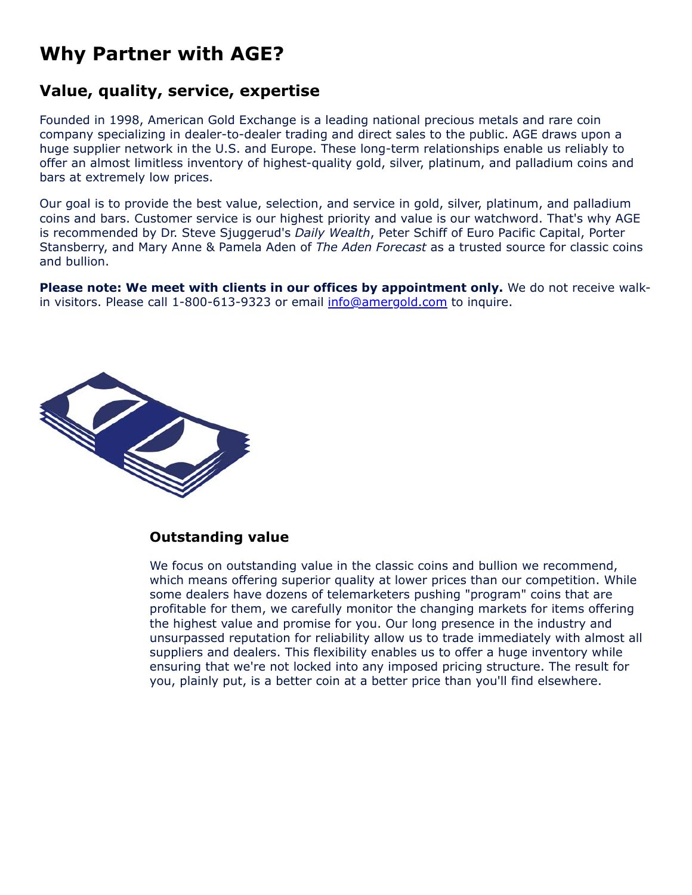# **Why Partner with AGE?**

# **Value, quality, service, expertise**

Founded in 1998, American Gold Exchange is a leading national precious metals and rare coin company specializing in dealer-to-dealer trading and direct sales to the public. AGE draws upon a huge supplier network in the U.S. and Europe. These long-term relationships enable us reliably to offer an almost limitless inventory of highest-quality gold, silver, platinum, and palladium coins and bars at extremely low prices.

Our goal is to provide the best value, selection, and service in gold, silver, platinum, and palladium coins and bars. Customer service is our highest priority and value is our watchword. That's why AGE is recommended by Dr. Steve Sjuggerud's *Daily Wealth*, Peter Schiff of Euro Pacific Capital, Porter Stansberry, and Mary Anne & Pamela Aden of *The Aden Forecast* as a trusted source for classic coins and bullion.

**Please note: We meet with clients in our offices by appointment only.** We do not receive walkin visitors. Please call 1-800-613-9323 or email [info@amergold.com](mailto:info@amergold.com) to inquire.



#### **Outstanding value**

We focus on outstanding value in the classic coins and bullion we recommend, which means offering superior quality at lower prices than our competition. While some dealers have dozens of telemarketers pushing "program" coins that are profitable for them, we carefully monitor the changing markets for items offering the highest value and promise for you. Our long presence in the industry and unsurpassed reputation for reliability allow us to trade immediately with almost all suppliers and dealers. This flexibility enables us to offer a huge inventory while ensuring that we're not locked into any imposed pricing structure. The result for you, plainly put, is a better coin at a better price than you'll find elsewhere.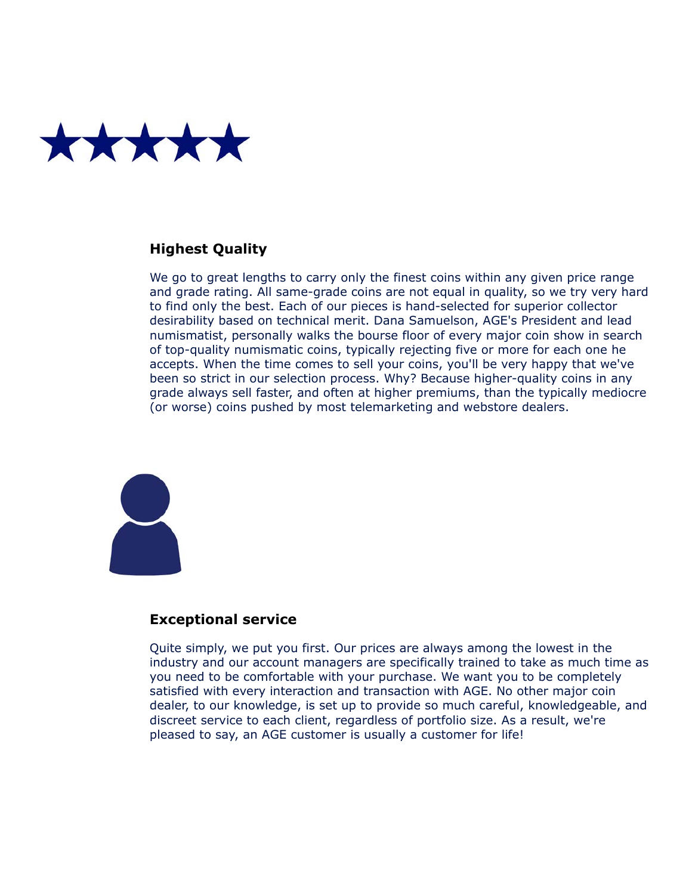

#### **Highest Quality**

We go to great lengths to carry only the finest coins within any given price range and grade rating. All same-grade coins are not equal in quality, so we try very hard to find only the best. Each of our pieces is hand-selected for superior collector desirability based on technical merit. Dana Samuelson, AGE's President and lead numismatist, personally walks the bourse floor of every major coin show in search of top-quality numismatic coins, typically rejecting five or more for each one he accepts. When the time comes to sell your coins, you'll be very happy that we've been so strict in our selection process. Why? Because higher-quality coins in any grade always sell faster, and often at higher premiums, than the typically mediocre (or worse) coins pushed by most telemarketing and webstore dealers.



#### **Exceptional service**

Quite simply, we put you first. Our prices are always among the lowest in the industry and our account managers are specifically trained to take as much time as you need to be comfortable with your purchase. We want you to be completely satisfied with every interaction and transaction with AGE. No other major coin dealer, to our knowledge, is set up to provide so much careful, knowledgeable, and discreet service to each client, regardless of portfolio size. As a result, we're pleased to say, an AGE customer is usually a customer for life!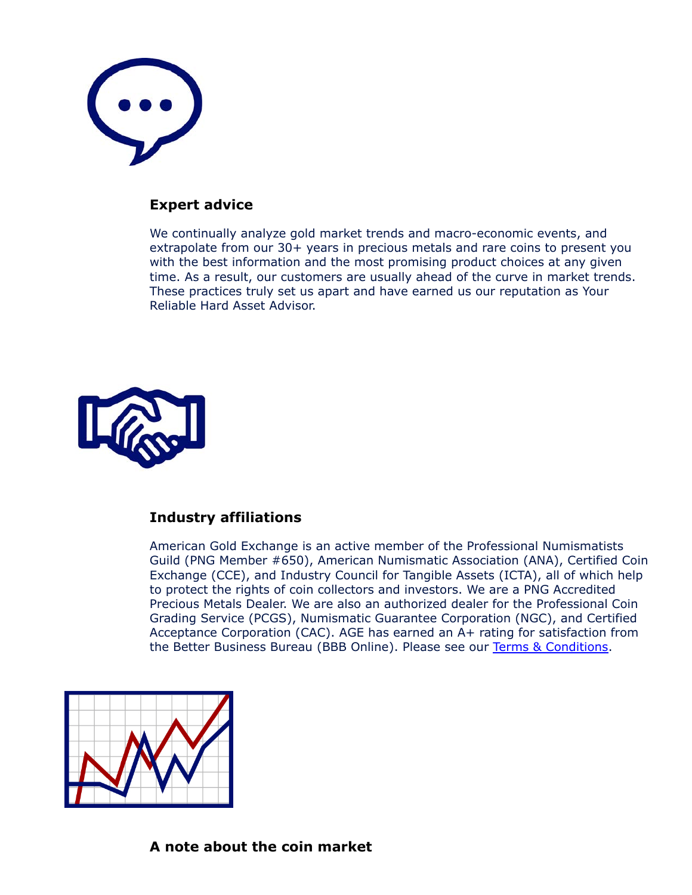

#### **Expert advice**

We continually analyze gold market trends and macro-economic events, and extrapolate from our 30+ years in precious metals and rare coins to present you with the best information and the most promising product choices at any given time. As a result, our customers are usually ahead of the curve in market trends. These practices truly set us apart and have earned us our reputation as Your Reliable Hard Asset Advisor.



#### **Industry affiliations**

American Gold Exchange is an active member of the Professional Numismatists Guild (PNG Member #650), American Numismatic Association (ANA), Certified Coin Exchange (CCE), and Industry Council for Tangible Assets (ICTA), all of which help to protect the rights of coin collectors and investors. We are a PNG Accredited Precious Metals Dealer. We are also an authorized dealer for the Professional Coin Grading Service (PCGS), Numismatic Guarantee Corporation (NGC), and Certified Acceptance Corporation (CAC). AGE has earned an A+ rating for satisfaction from the Better Business Bureau (BBB Online). Please see our [Terms & Conditions](https://www.amergold.com/about-age/terms-conditions.php).